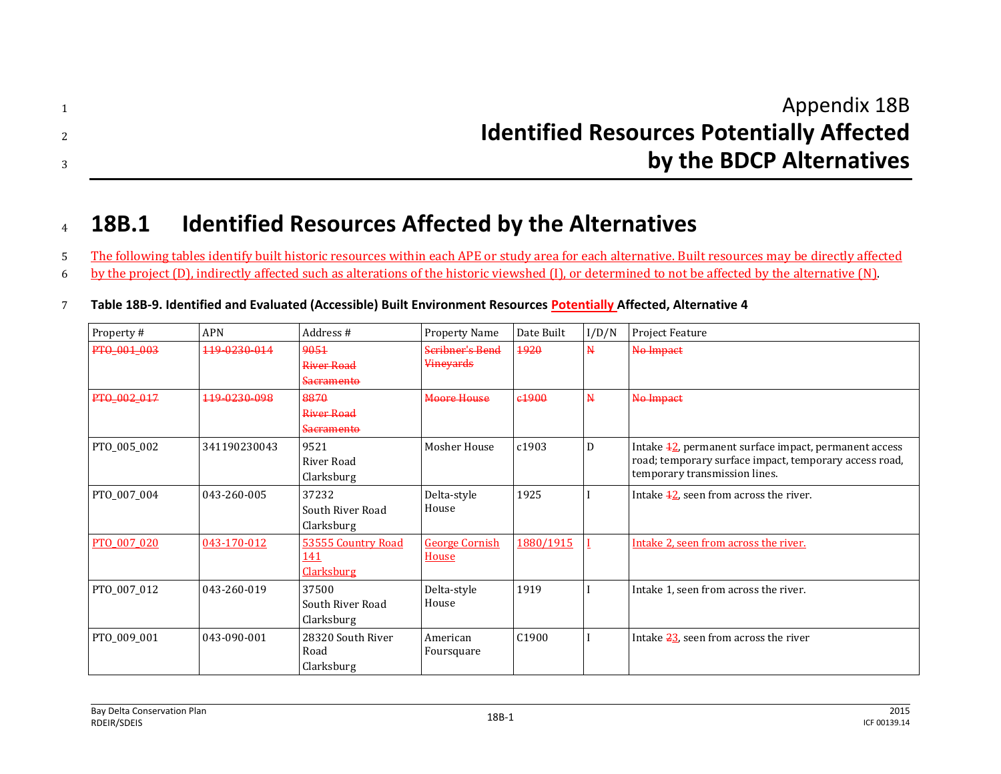| Appendix 18B                                     |
|--------------------------------------------------|
| <b>Identified Resources Potentially Affected</b> |
| by the BDCP Alternatives                         |

## <sup>4</sup> **18B.1 Identified Resources Affected by the Alternatives**

5 The following tables identify built historic resources within each APE or study area for each alternative. Built resources may be directly affected 6 by the project (D), indirectly affected such as alterations of the historic viewshed (I), or determined to not be affected by the alternative (N).

| Property #  | <b>APN</b>   | Address #                                             | <b>Property Name</b>                       | Date Built        | I/D/N                   | Project Feature                                                                                                                                               |
|-------------|--------------|-------------------------------------------------------|--------------------------------------------|-------------------|-------------------------|---------------------------------------------------------------------------------------------------------------------------------------------------------------|
| PTO_001_003 | 119-0230-014 | 9051<br><b>River Road</b><br>Sacramento               | <b>Scribner's Bend</b><br><b>Vineyards</b> | 1920              | $\mathbf{N}$            | No Impact                                                                                                                                                     |
| PTO_002_017 | 119 0230 098 | 8870<br>River Road<br><b>Sacramento</b>               | <b>Moore House</b>                         | <del>c1900</del>  | $\overline{\mathsf{N}}$ | No Impact                                                                                                                                                     |
| PTO_005_002 | 341190230043 | 9521<br>River Road<br>Clarksburg                      | Mosher House                               | c1903             | D                       | Intake $\frac{12}{2}$ , permanent surface impact, permanent access<br>road; temporary surface impact, temporary access road,<br>temporary transmission lines. |
| PTO 007 004 | 043-260-005  | 37232<br>South River Road<br>Clarksburg               | Delta-style<br>House                       | 1925              |                         | Intake 42, seen from across the river.                                                                                                                        |
| PTO 007 020 | 043-170-012  | 53555 Country Road<br><u>141</u><br><b>Clarksburg</b> | <b>George Cornish</b><br>House             | 1880/1915         |                         | Intake 2, seen from across the river.                                                                                                                         |
| PTO_007_012 | 043-260-019  | 37500<br>South River Road<br>Clarksburg               | Delta-style<br>House                       | 1919              |                         | Intake 1, seen from across the river.                                                                                                                         |
| PTO 009 001 | 043-090-001  | 28320 South River<br>Road<br>Clarksburg               | American<br>Foursquare                     | C <sub>1900</sub> |                         | Intake 23, seen from across the river                                                                                                                         |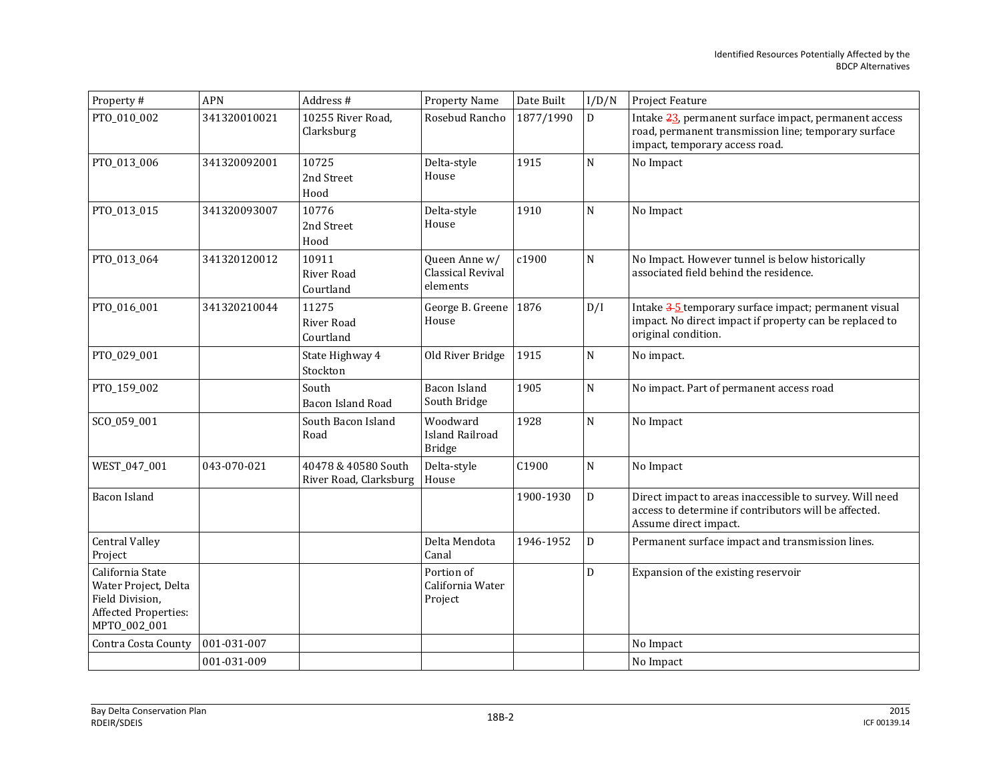| Property #                                                                                                 | APN          | Address #                                     | <b>Property Name</b>                                | Date Built | I/D/N                   | Project Feature                                                                                                                                 |
|------------------------------------------------------------------------------------------------------------|--------------|-----------------------------------------------|-----------------------------------------------------|------------|-------------------------|-------------------------------------------------------------------------------------------------------------------------------------------------|
| PTO_010_002                                                                                                | 341320010021 | 10255 River Road,<br>Clarksburg               | Rosebud Rancho                                      | 1877/1990  | D                       | Intake 23, permanent surface impact, permanent access<br>road, permanent transmission line; temporary surface<br>impact, temporary access road. |
| PTO_013_006                                                                                                | 341320092001 | 10725<br>2nd Street<br>Hood                   | Delta-style<br>House                                | 1915       | $\mathbf N$             | No Impact                                                                                                                                       |
| PTO_013_015                                                                                                | 341320093007 | 10776<br>2nd Street<br>Hood                   | Delta-style<br>House                                | 1910       | N                       | No Impact                                                                                                                                       |
| PTO_013_064                                                                                                | 341320120012 | 10911<br>River Road<br>Courtland              | Queen Anne w/<br>Classical Revival<br>elements      | c1900      | N                       | No Impact. However tunnel is below historically<br>associated field behind the residence.                                                       |
| PTO_016_001                                                                                                | 341320210044 | 11275<br>River Road<br>Courtland              | George B. Greene<br>House                           | 1876       | D/I                     | Intake 3-5 temporary surface impact; permanent visual<br>impact. No direct impact if property can be replaced to<br>original condition.         |
| PTO_029_001                                                                                                |              | State Highway 4<br>Stockton                   | Old River Bridge                                    | 1915       | N                       | No impact.                                                                                                                                      |
| PTO_159_002                                                                                                |              | South<br>Bacon Island Road                    | <b>Bacon Island</b><br>South Bridge                 | 1905       | ${\bf N}$               | No impact. Part of permanent access road                                                                                                        |
| SCO_059_001                                                                                                |              | South Bacon Island<br>Road                    | Woodward<br><b>Island Railroad</b><br><b>Bridge</b> | 1928       | $\mathbf N$             | No Impact                                                                                                                                       |
| WEST_047_001                                                                                               | 043-070-021  | 40478 & 40580 South<br>River Road, Clarksburg | Delta-style<br>House                                | C1900      | $\overline{\mathsf{N}}$ | No Impact                                                                                                                                       |
| Bacon Island                                                                                               |              |                                               |                                                     | 1900-1930  | D                       | Direct impact to areas inaccessible to survey. Will need<br>access to determine if contributors will be affected.<br>Assume direct impact.      |
| <b>Central Valley</b><br>Project                                                                           |              |                                               | Delta Mendota<br>Canal                              | 1946-1952  | D                       | Permanent surface impact and transmission lines.                                                                                                |
| California State<br>Water Project, Delta<br>Field Division,<br><b>Affected Properties:</b><br>MPTO_002_001 |              |                                               | Portion of<br>California Water<br>Project           |            | D                       | Expansion of the existing reservoir                                                                                                             |
| Contra Costa County                                                                                        | 001-031-007  |                                               |                                                     |            |                         | No Impact                                                                                                                                       |
|                                                                                                            | 001-031-009  |                                               |                                                     |            |                         | No Impact                                                                                                                                       |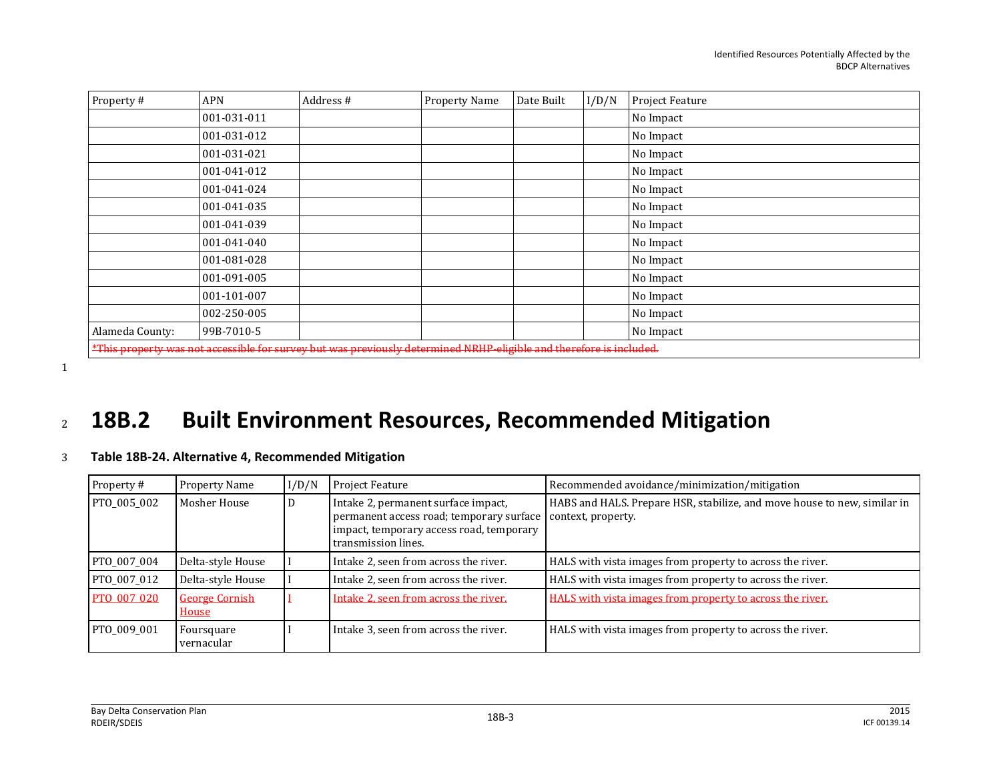| Property#                                                                                                           | <b>APN</b>  | Address # | Property Name | Date Built | I/D/N | Project Feature |  |
|---------------------------------------------------------------------------------------------------------------------|-------------|-----------|---------------|------------|-------|-----------------|--|
|                                                                                                                     | 001-031-011 |           |               |            |       | No Impact       |  |
|                                                                                                                     | 001-031-012 |           |               |            |       | No Impact       |  |
|                                                                                                                     | 001-031-021 |           |               |            |       | No Impact       |  |
|                                                                                                                     | 001-041-012 |           |               |            |       | No Impact       |  |
|                                                                                                                     | 001-041-024 |           |               |            |       | No Impact       |  |
|                                                                                                                     | 001-041-035 |           |               |            |       | No Impact       |  |
|                                                                                                                     | 001-041-039 |           |               |            |       | No Impact       |  |
|                                                                                                                     | 001-041-040 |           |               |            |       | No Impact       |  |
|                                                                                                                     | 001-081-028 |           |               |            |       | No Impact       |  |
|                                                                                                                     | 001-091-005 |           |               |            |       | No Impact       |  |
|                                                                                                                     | 001-101-007 |           |               |            |       | No Impact       |  |
|                                                                                                                     | 002-250-005 |           |               |            |       | No Impact       |  |
| Alameda County:                                                                                                     | 99B-7010-5  |           |               |            |       | No Impact       |  |
| *This property was not accessible for survey but was previously determined NRHP-eligible and therefore is included. |             |           |               |            |       |                 |  |

1

## <sup>2</sup> **18B.2 Built Environment Resources, Recommended Mitigation**

## 3 **Table 18B-24. Alternative 4, Recommended Mitigation**

| Property#   | Property Name                  | I/D/N | <b>Project Feature</b>                                                                                                                             | Recommended avoidance/minimization/mitigation                                                  |
|-------------|--------------------------------|-------|----------------------------------------------------------------------------------------------------------------------------------------------------|------------------------------------------------------------------------------------------------|
| PTO 005 002 | Mosher House                   | D     | Intake 2, permanent surface impact,<br>permanent access road; temporary surface<br>impact, temporary access road, temporary<br>transmission lines. | HABS and HALS. Prepare HSR, stabilize, and move house to new, similar in<br>context, property. |
| PTO 007 004 | Delta-style House              |       | Intake 2, seen from across the river.                                                                                                              | HALS with vista images from property to across the river.                                      |
| PTO 007 012 | Delta-style House              |       | Intake 2, seen from across the river.                                                                                                              | HALS with vista images from property to across the river.                                      |
| PTO 007 020 | <b>George Cornish</b><br>House |       | Intake 2, seen from across the river.                                                                                                              | HALS with vista images from property to across the river.                                      |
| PTO 009 001 | Foursquare<br>vernacular       |       | Intake 3, seen from across the river.                                                                                                              | HALS with vista images from property to across the river.                                      |